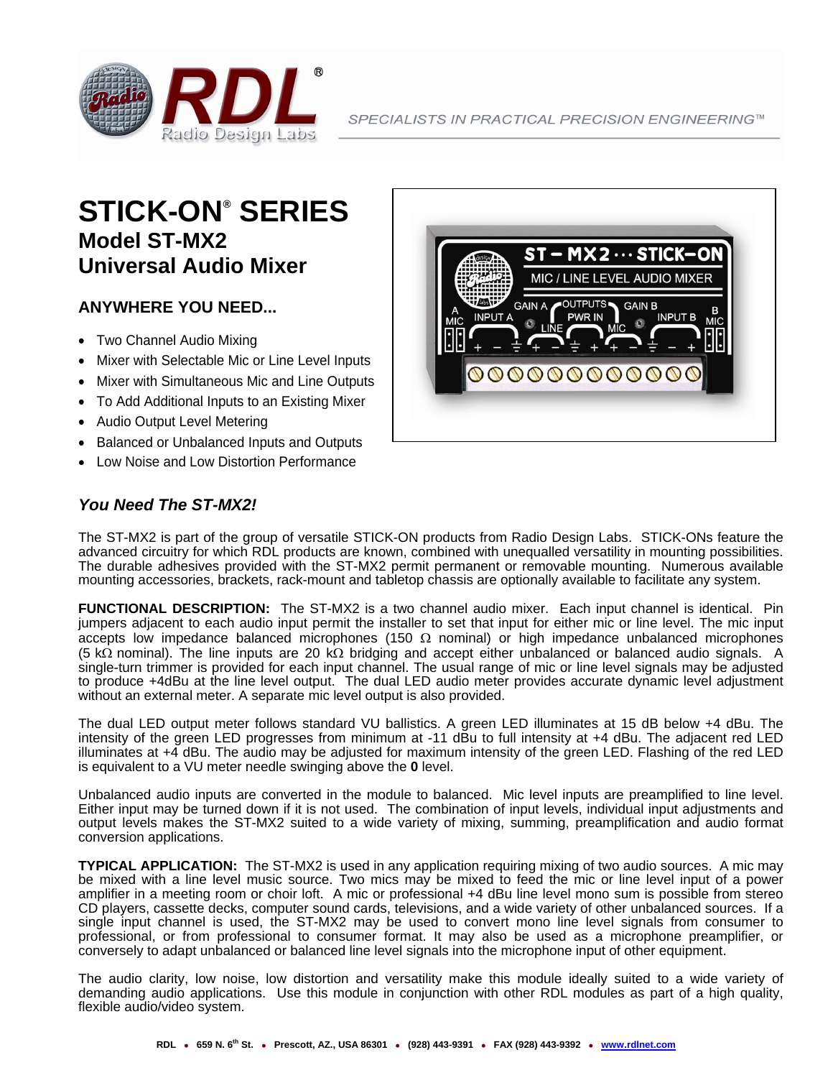

## **STICK-ON® SERIES Model ST-MX2 Universal Audio Mixer**

## **ANYWHERE YOU NEED...**

- Two Channel Audio Mixing
- Mixer with Selectable Mic or Line Level Inputs
- Mixer with Simultaneous Mic and Line Outputs
- To Add Additional Inputs to an Existing Mixer
- Audio Output Level Metering
- Balanced or Unbalanced Inputs and Outputs
- Low Noise and Low Distortion Performance

## *You Need The ST-MX2!*

The ST-MX2 is part of the group of versatile STICK-ON products from Radio Design Labs. STICK-ONs feature the advanced circuitry for which RDL products are known, combined with unequalled versatility in mounting possibilities. The durable adhesives provided with the ST-MX2 permit permanent or removable mounting. Numerous available mounting accessories, brackets, rack-mount and tabletop chassis are optionally available to facilitate any system.

**FUNCTIONAL DESCRIPTION:** The ST-MX2 is a two channel audio mixer. Each input channel is identical. Pin jumpers adjacent to each audio input permit the installer to set that input for either mic or line level. The mic input accepts low impedance balanced microphones (150  $\Omega$  nominal) or high impedance unbalanced microphones (5-kΩ-nominal). The line inputs are 20 kΩ bridging and accept either unbalanced or balanced audio signals. A single-turn trimmer is provided for each input channel. The usual range of mic or line level signals may be adjusted to produce +4dBu at the line level output. The dual LED audio meter provides accurate dynamic level adjustment without an external meter. A separate mic level output is also provided.

The dual LED output meter follows standard VU ballistics. A green LED illuminates at 15 dB below +4 dBu. The intensity of the green LED progresses from minimum at -11 dBu to full intensity at +4 dBu. The adjacent red LED illuminates at +4 dBu. The audio may be adjusted for maximum intensity of the green LED. Flashing of the red LED is equivalent to a VU meter needle swinging above the **0** level.

Unbalanced audio inputs are converted in the module to balanced. Mic level inputs are preamplified to line level. Either input may be turned down if it is not used. The combination of input levels, individual input adjustments and output levels makes the ST-MX2 suited to a wide variety of mixing, summing, preamplification and audio format conversion applications.

**TYPICAL APPLICATION:** The ST-MX2 is used in any application requiring mixing of two audio sources. A mic may be mixed with a line level music source. Two mics may be mixed to feed the mic or line level input of a power amplifier in a meeting room or choir loft. A mic or professional +4 dBu line level mono sum is possible from stereo CD players, cassette decks, computer sound cards, televisions, and a wide variety of other unbalanced sources. If a single input channel is used, the ST-MX2 may be used to convert mono line level signals from consumer to professional, or from professional to consumer format. It may also be used as a microphone preamplifier, or conversely to adapt unbalanced or balanced line level signals into the microphone input of other equipment.

The audio clarity, low noise, low distortion and versatility make this module ideally suited to a wide variety of demanding audio applications. Use this module in conjunction with other RDL modules as part of a high quality, flexible audio/video system.